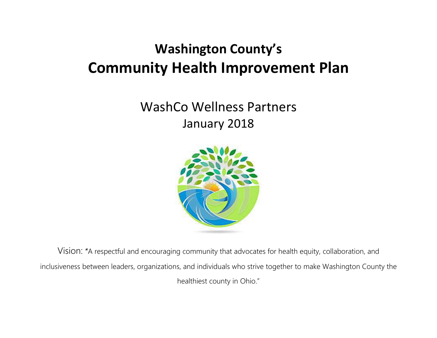# **Washington County's Community Health Improvement Plan**

# WashCo Wellness Partners January 2018



Vision: "A respectful and encouraging community that advocates for health equity, collaboration, and inclusiveness between leaders, organizations, and individuals who strive together to make Washington County the healthiest county in Ohio."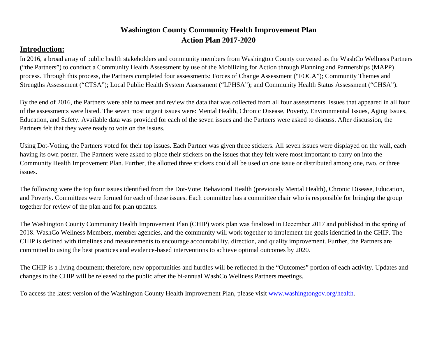# **Washington County Community Health Improvement Plan Action Plan 2017-2020**

# **Introduction:**

In 2016, a broad array of public health stakeholders and community members from Washington County convened as the WashCo Wellness Partners ("the Partners") to conduct a Community Health Assessment by use of the Mobilizing for Action through Planning and Partnerships (MAPP) process. Through this process, the Partners completed four assessments: Forces of Change Assessment ("FOCA"); Community Themes and Strengths Assessment ("CTSA"); Local Public Health System Assessment ("LPHSA"); and Community Health Status Assessment ("CHSA").

By the end of 2016, the Partners were able to meet and review the data that was collected from all four assessments. Issues that appeared in all four of the assessments were listed. The seven most urgent issues were: Mental Health, Chronic Disease, Poverty, Environmental Issues, Aging Issues, Education, and Safety. Available data was provided for each of the seven issues and the Partners were asked to discuss. After discussion, the Partners felt that they were ready to vote on the issues.

Using Dot-Voting, the Partners voted for their top issues. Each Partner was given three stickers. All seven issues were displayed on the wall, each having its own poster. The Partners were asked to place their stickers on the issues that they felt were most important to carry on into the Community Health Improvement Plan. Further, the allotted three stickers could all be used on one issue or distributed among one, two, or three issues.

The following were the top four issues identified from the Dot-Vote: Behavioral Health (previously Mental Health), Chronic Disease, Education, and Poverty. Committees were formed for each of these issues. Each committee has a committee chair who is responsible for bringing the group together for review of the plan and for plan updates.

The Washington County Community Health Improvement Plan (CHIP) work plan was finalized in December 2017 and published in the spring of 2018. WashCo Wellness Members, member agencies, and the community will work together to implement the goals identified in the CHIP. The CHIP is defined with timelines and measurements to encourage accountability, direction, and quality improvement. Further, the Partners are committed to using the best practices and evidence-based interventions to achieve optimal outcomes by 2020.

The CHIP is a living document; therefore, new opportunities and hurdles will be reflected in the "Outcomes" portion of each activity. Updates and changes to the CHIP will be released to the public after the bi-annual WashCo Wellness Partners meetings.

To access the latest version of the Washington County Health Improvement Plan, please visit [www.washingtongov.org/health.](http://www.washingtongov.org/health)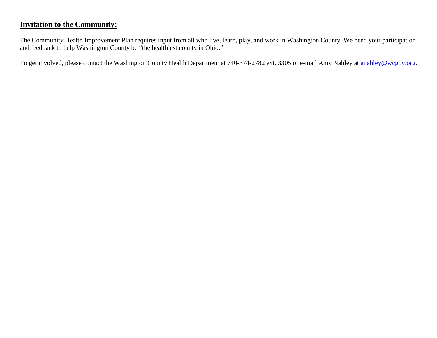# **Invitation to the Community:**

The Community Health Improvement Plan requires input from all who live, learn, play, and work in Washington County. We need your participation and feedback to help Washington County be "the healthiest county in Ohio."

To get involved, please contact the Washington County Health Department at 740-374-2782 ext. 3305 or e-mail Amy Nahley at [anahley@wcgov.org.](mailto:anahley@wcgov.org)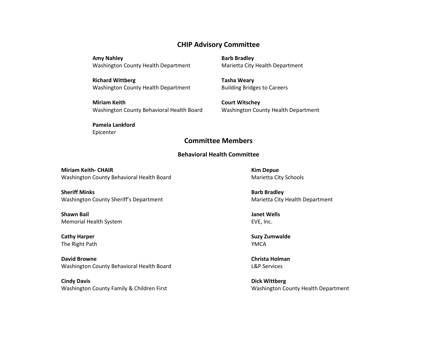## **CHIP Advisory Committee**

**Amy Nahley** Washington County Health Department

**Richard Wittberg**  Washington County Health Department

**Miriam Keith** Washington County Behavioral Health Board **Barb Bradley** Marietta City Health Department

**Tasha Weary** Building Bridges to Careers

**Court Witschey** Washington County Health Department

### **Pamela Lankford**

Epicenter

## **Committee Members**

#### **Behavioral Health Committee**

**Miriam Keith- CHAIR** Washington County Behavioral Health Board

**Sheriff Minks** Washington County Sheriff's Department

**Shawn Bail** Memorial Health System

**Cathy Harper** The Right Path

**David Browne** Washington County Behavioral Health Board

**Cindy Davis** Washington County Family & Children First

**Kim Depue** Marietta City Schools

**Barb Bradley** Marietta City Health Department

**Janet Wells** EVE, Inc.

**Suzy Zumwalde** YMCA

**Christa Holman**  L&P Services

**Dick Wittberg** Washington County Health Department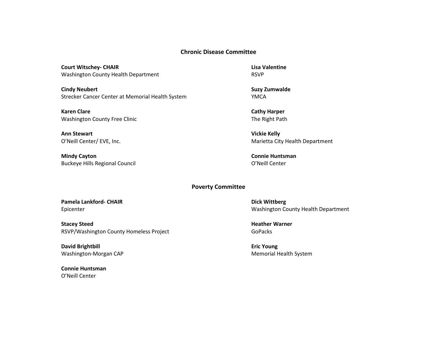#### **Chronic Disease Committee**

**Court Witschey- CHAIR** Washington County Health Department

**Cindy Neubert** Strecker Cancer Center at Memorial Health System

**Karen Clare** Washington County Free Clinic

**Ann Stewart** O'Neill Center/ EVE, Inc.

**Mindy Cayton** Buckeye Hills Regional Council **Lisa Valentine** RSVP

**Suzy Zumwalde** YMCA

**Cathy Harper** The Right Path

**Vickie Kelly** Marietta City Health Department

**Connie Huntsman** O'Neill Center

#### **Poverty Committee**

**Pamela Lankford- CHAIR** Epicenter

**Stacey Steed** RSVP/Washington County Homeless Project

**David Brightbill** Washington-Morgan CAP

**Connie Huntsman** O'Neill Center

**Dick Wittberg** Washington County Health Department

**Heather Warner** GoPacks

**Eric Young** Memorial Health System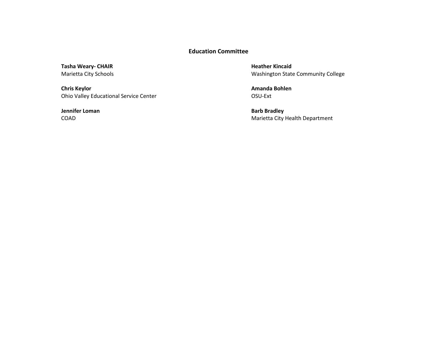## **Education Committee**

**Tasha Weary- CHAIR** Marietta City Schools

**Chris Keylor** Ohio Valley Educational Service Center

**Jennifer Loman** COAD

**Heather Kincaid** Washington State Community College

**Amanda Bohlen** OSU-Ext

**Barb Bradley** Marietta City Health Department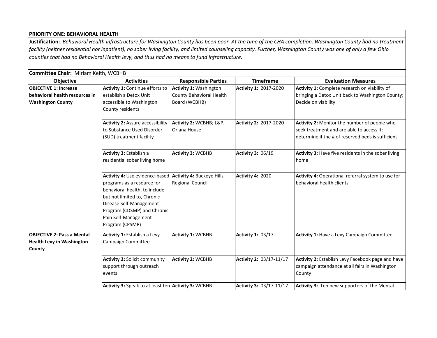#### **PRIORITY ONE: BEHAVIORAL HEALTH**

**Justification:** *Behavioral Health infrastructure for Washington County has been poor. At the time of the CHA completion, Washington County had no treatment facility (neither residential nor inpatient), no sober living facility, and limited counseling capacity. Further, Washington County was one of only a few Ohio counties that had no Behavioral Health levy, and thus had no means to fund infrastructure.*

#### **Committee Chair:** Miriam Keith, WCBHB

| Objective                         | <b>Activities</b>                                        | <b>Responsible Parties</b>    | <b>Timeframe</b>             | <b>Evaluation Measures</b>                          |
|-----------------------------------|----------------------------------------------------------|-------------------------------|------------------------------|-----------------------------------------------------|
| <b>OBJECTIVE 1: Increase</b>      | <b>Activity 1: Continue efforts to</b>                   | <b>Activity 1: Washington</b> | <b>Activity 1: 2017-2020</b> | Activity 1: Complete research on viability of       |
| behavioral health resources in    | establish a Detox Unit                                   | County Behavioral Health      |                              | bringing a Detox Unit back to Washington County;    |
| <b>Washington County</b>          | accessible to Washington                                 | Board (WCBHB)                 |                              | Decide on viability                                 |
|                                   | County residents                                         |                               |                              |                                                     |
|                                   | <b>Activity 2: Assure accessibility</b>                  | Activity 2: WCBHB; L&P        | Activity 2: 2017-2020        | Activity 2: Monitor the number of people who        |
|                                   | to Substance Used Disorder                               | <b>Oriana House</b>           |                              | seek treatment and are able to access it;           |
|                                   | (SUD) treatment facility                                 |                               |                              | determine if the # of reserved beds is sufficient   |
|                                   |                                                          |                               |                              |                                                     |
|                                   | Activity 3: Establish a                                  | <b>Activity 3: WCBHB</b>      | <b>Activity 3: 06/19</b>     | Activity 3: Have five residents in the sober living |
|                                   | residential sober living home                            |                               |                              | home                                                |
|                                   | Activity 4: Use evidence-based Activity 4: Buckeye Hills |                               | Activity 4: 2020             | Activity 4: Operational referral system to use for  |
|                                   | programs as a resource for                               | <b>Regional Council</b>       |                              | behavioral health clients                           |
|                                   | behavioral health, to include                            |                               |                              |                                                     |
|                                   | but not limited to, Chronic                              |                               |                              |                                                     |
|                                   | Disease Self-Management                                  |                               |                              |                                                     |
|                                   | Program (CDSMP) and Chronic                              |                               |                              |                                                     |
|                                   | Pain Self-Management                                     |                               |                              |                                                     |
|                                   | Program (CPSMP)                                          |                               |                              |                                                     |
| <b>OBJECTIVE 2: Pass a Mental</b> | Activity 1: Establish a Levy                             | <b>Activity 1: WCBHB</b>      | <b>Activity 1: 03/17</b>     | Activity 1: Have a Levy Campaign Committee          |
| <b>Health Levy in Washington</b>  | Campaign Committee                                       |                               |                              |                                                     |
| County                            |                                                          |                               |                              |                                                     |
|                                   | <b>Activity 2: Solicit community</b>                     | <b>Activity 2: WCBHB</b>      | Activity 2: 03/17-11/17      | Activity 2: Establish Levy Facebook page and have   |
|                                   | support through outreach                                 |                               |                              | campaign attendance at all fairs in Washington      |
|                                   | events                                                   |                               |                              | County                                              |
|                                   | Activity 3: Speak to at least ten Activity 3: WCBHB      |                               | Activity 3: 03/17-11/17      | Activity 3: Ten new supporters of the Mental        |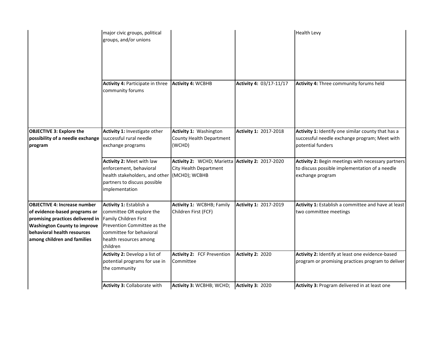|                                                                                                                                                                                                               | major civic groups, political<br>groups, and/or unions<br>Activity 4: Participate in three                                                                                    | <b>Activity 4: WCBHB</b>                                                                    | Activity 4: 03/17-11/17      | <b>Health Levy</b><br>Activity 4: Three community forums held                                                            |
|---------------------------------------------------------------------------------------------------------------------------------------------------------------------------------------------------------------|-------------------------------------------------------------------------------------------------------------------------------------------------------------------------------|---------------------------------------------------------------------------------------------|------------------------------|--------------------------------------------------------------------------------------------------------------------------|
|                                                                                                                                                                                                               | community forums                                                                                                                                                              |                                                                                             |                              |                                                                                                                          |
| <b>OBJECTIVE 3: Explore the</b><br>possibility of a needle exchange<br>program                                                                                                                                | Activity 1: Investigate other<br>successful rural needle<br>exchange programs                                                                                                 | Activity 1: Washington<br>County Health Department<br>(WCHD)                                | <b>Activity 1: 2017-2018</b> | Activity 1: Identify one similar county that has a<br>successful needle exchange program; Meet with<br>potential funders |
|                                                                                                                                                                                                               | Activity 2: Meet with law<br>enforcement, behavioral<br>health stakeholders, and other<br>partners to discuss possible<br>implementation                                      | Activity 2: WCHD; Marietta Activity 2: 2017-2020<br>City Health Department<br>(MCHD); WCBHB |                              | Activity 2: Begin meetings with necessary partners<br>to discuss possible implementation of a needle<br>exchange program |
| <b>OBJECTIVE 4: Increase number</b><br>of evidence-based programs or<br>promising practices delivered in<br><b>Washington County to improve</b><br>behavioral health resources<br>among children and families | Activity 1: Establish a<br>committee OR explore the<br>Family Children First<br>Prevention Committee as the<br>committee for behavioral<br>health resources among<br>children | <b>Activity 1: WCBHB; Family</b><br>Children First (FCF)                                    | Activity 1: 2017-2019        | Activity 1: Establish a committee and have at least<br>two committee meetings                                            |
|                                                                                                                                                                                                               | Activity 2: Develop a list of<br>potential programs for use in<br>the community                                                                                               | <b>Activity 2: FCF Prevention</b><br>Committee                                              | <b>Activity 2: 2020</b>      | Activity 2: Identify at least one evidence-based<br>program or promising practices program to deliver                    |
|                                                                                                                                                                                                               | Activity 3: Collaborate with                                                                                                                                                  | Activity 3: WCBHB; WCHD;                                                                    | <b>Activity 3: 2020</b>      | Activity 3: Program delivered in at least one                                                                            |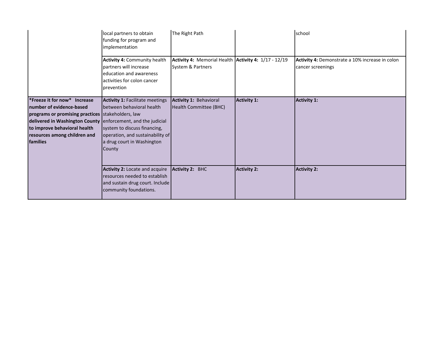|                                                                                                                                                                                                                                                           | local partners to obtain<br>funding for program and<br>implementation<br><b>Activity 4: Community health</b><br>partners will increase<br>education and awareness<br>activities for colon cancer<br>prevention | The Right Path<br>Activity 4: Memorial Health Activity 4: 1/17 - 12/19<br>System & Partners |                    | school<br>Activity 4: Demonstrate a 10% increase in colon<br>cancer screenings |
|-----------------------------------------------------------------------------------------------------------------------------------------------------------------------------------------------------------------------------------------------------------|----------------------------------------------------------------------------------------------------------------------------------------------------------------------------------------------------------------|---------------------------------------------------------------------------------------------|--------------------|--------------------------------------------------------------------------------|
| *Freeze it for now* Increase<br>number of evidence-based<br>programs or promising practices stakeholders, law<br>delivered in Washington County enforcement, and the judicial<br>to improve behavioral health<br>resources among children and<br>families | <b>Activity 1: Facilitate meetings</b><br>between behavioral health<br>system to discuss financing,<br>operation, and sustainability of<br>a drug court in Washington<br>County                                | Activity 1: Behavioral<br>Health Committee (BHC)                                            | <b>Activity 1:</b> | <b>Activity 1:</b>                                                             |
|                                                                                                                                                                                                                                                           | Activity 2: Locate and acquire<br>resources needed to establish<br>and sustain drug court. Include<br>community foundations.                                                                                   | <b>Activity 2: BHC</b>                                                                      | <b>Activity 2:</b> | <b>Activity 2:</b>                                                             |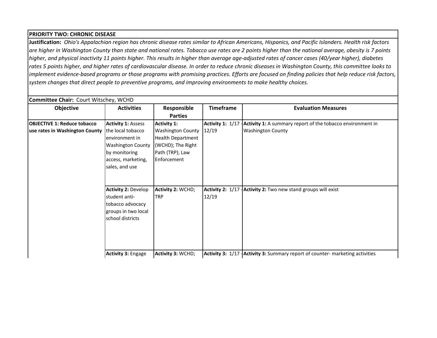#### **PRIORITY TWO: CHRONIC DISEASE**

**Justification:** *Ohio's Appalachian region has chronic disease rates similar to African Americans, Hispanics, and Pacific Islanders. Health risk factors are higher in Washington County than state and national rates. Tobacco use rates are 2 points higher than the national average, obesity is 7 points higher, and physical inactivity 11 points higher. This results in higher than average age-adjusted rates of cancer cases (40/year higher), diabetes rates 5 points higher, and higher rates of cardiovascular disease. In order to reduce chronic diseases in Washington County, this committee looks to implement evidence-based programs or those programs with promising practices. Efforts are focused on finding policies that help reduce risk factors, system changes that direct people to preventive programs, and improving environments to make healthy choices.*

| Objective                          | <b>Activities</b>                                                                                                        | Responsible                                                                                                 | <b>Timeframe</b> | <b>Evaluation Measures</b>                                                     |
|------------------------------------|--------------------------------------------------------------------------------------------------------------------------|-------------------------------------------------------------------------------------------------------------|------------------|--------------------------------------------------------------------------------|
|                                    |                                                                                                                          | <b>Parties</b>                                                                                              |                  |                                                                                |
| <b>OBJECTIVE 1: Reduce tobacco</b> | <b>Activity 1: Assess</b>                                                                                                | <b>Activity 1:</b>                                                                                          |                  | Activity 1: 1/17   Activity 1: A summary report of the tobacco environment in  |
| use rates in Washington County     | the local tobacco<br>environment in<br><b>Washington County</b><br>by monitoring<br>access, marketing,<br>sales, and use | <b>Washington County</b><br><b>Health Department</b><br>(WCHD); The Right<br>Path (TRP); Law<br>Enforcement | 12/19            | <b>Washington County</b>                                                       |
|                                    | <b>Activity 2: Develop</b><br>student anti-<br>tobacco advocacy<br>groups in two local<br>school districts               | Activity 2: WCHD;<br><b>TRP</b>                                                                             | 12/19            | Activity 2: $1/17$ -Activity 2: Two new stand groups will exist                |
|                                    | <b>Activity 3: Engage</b>                                                                                                | Activity 3: WCHD;                                                                                           |                  | Activity 3: 1/17   Activity 3: Summary report of counter- marketing activities |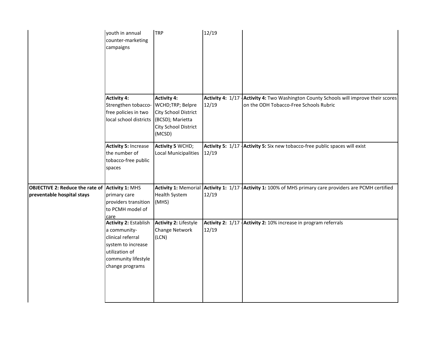|                                                                                      | youth in annual<br>counter-marketing<br>campaigns                                                                                                   | <b>TRP</b>                                                                                                                  | 12/19 |                                                                                                                                |
|--------------------------------------------------------------------------------------|-----------------------------------------------------------------------------------------------------------------------------------------------------|-----------------------------------------------------------------------------------------------------------------------------|-------|--------------------------------------------------------------------------------------------------------------------------------|
|                                                                                      | <b>Activity 4:</b><br>Strengthen tobacco-<br>free policies in two<br>local school districts                                                         | <b>Activity 4:</b><br>WCHD;TRP; Belpre<br><b>City School District</b><br>(BCSD); Marietta<br>City School District<br>(MCSD) | 12/19 | Activity 4: 1/17 Activity 4: Two Washington County Schools will improve their scores<br>on the ODH Tobacco-Free Schools Rubric |
|                                                                                      | <b>Activity 5: Increase</b><br>the number of<br>tobacco-free public<br>spaces                                                                       | <b>Activity 5 WCHD;</b><br>Local Municipalities                                                                             | 12/19 | Activity 5: 1/17 Activity 5: Six new tobacco-free public spaces will exist                                                     |
| <b>OBJECTIVE 2: Reduce the rate of Activity 1: MHS</b><br>preventable hospital stays | primary care<br>providers transition<br>to PCMH model of<br>care                                                                                    | <b>Health System</b><br>(MHS)                                                                                               | 12/19 | Activity 1: Memorial Activity 1: 1/17 Activity 1: 100% of MHS primary care providers are PCMH certified                        |
|                                                                                      | <b>Activity 2: Establish</b><br>a community-<br>clinical referral<br>system to increase<br>utilization of<br>community lifestyle<br>change programs | <b>Activity 2: Lifestyle</b><br>Change Network<br>(LCN)                                                                     | 12/19 | Activity 2: 1/17 Activity 2: 10% increase in program referrals                                                                 |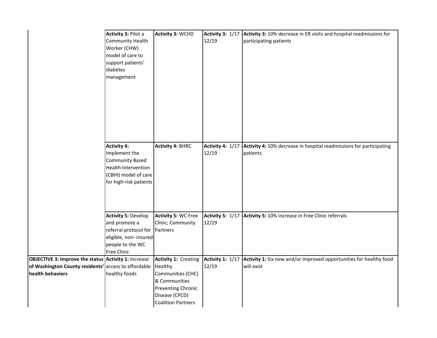|                                                             | Activity 3: Pilot a<br><b>Community Health</b><br>Worker (CHW)<br>model of care to<br>support patients'<br>diabetes<br>management        | <b>Activity 3: WCHD</b>                                                                                 | 12/19 | Activity 3: 1/17 Activity 3: 10% decrease in ER visits and hospital readmissions for<br>participating patients |
|-------------------------------------------------------------|------------------------------------------------------------------------------------------------------------------------------------------|---------------------------------------------------------------------------------------------------------|-------|----------------------------------------------------------------------------------------------------------------|
|                                                             | <b>Activity 4:</b><br>Implement the<br><b>Community Based</b><br>Health Intervention<br>(CBHI) model of care<br>for high-risk patients   | <b>Activity 4: BHRC</b>                                                                                 | 12/19 | Activity 4: 1/17 Activity 4: 10% decrease in hospital readmissions for participating<br>patients               |
|                                                             | <b>Activity 5: Develop</b><br>and promote a<br>referral protocol for<br>eligible, non- insured<br>people to the WC<br><b>Free Clinic</b> | <b>Activity 5: WC Free</b><br>Clinic; Community<br>Partners                                             | 12/19 | Activity 5: 1/17 Activity 5: 10% increase in Free Clinic referrals                                             |
| <b>OBJECTIVE 3: Improve the status Activity 1: Increase</b> |                                                                                                                                          | <b>Activity 1: Creating</b>                                                                             |       | Activity 1: 1/17   Activity 1: Six new and/or improved opportunities for healthy food                          |
| of Washington County residents' access to affordable        |                                                                                                                                          | Healthy                                                                                                 | 12/19 | will exist                                                                                                     |
| health behaviors                                            | healthy foods                                                                                                                            | Communities (CHC)<br>& Communities<br>Preventing Chronic<br>Disease (CPCD)<br><b>Coalition Partners</b> |       |                                                                                                                |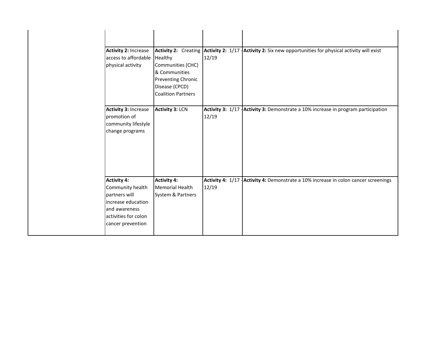| <b>Activity 2: Increase</b><br>access to affordable<br>physical activity                                                                    | Healthy<br>Communities (CHC)<br>& Communities<br>Preventing Chronic<br>Disease (CPCD)<br><b>Coalition Partners</b> | 12/19 | Activity 2: Creating Activity 2: 1/17 Activity 2: Six new opportunities for physical activity will exist |
|---------------------------------------------------------------------------------------------------------------------------------------------|--------------------------------------------------------------------------------------------------------------------|-------|----------------------------------------------------------------------------------------------------------|
| Activity 3: Increase<br>promotion of<br>community lifestyle<br>change programs                                                              | <b>Activity 3: LCN</b>                                                                                             | 12/19 | Activity 3: 1/17   Activity 3: Demonstrate a 10% increase in program participation                       |
| <b>Activity 4:</b><br>Community health<br>partners will<br>increase education<br>and awareness<br>activities for colon<br>cancer prevention | <b>Activity 4:</b><br>Memorial Health<br>System & Partners                                                         | 12/19 | Activity 4: 1/17 Activity 4: Demonstrate a 10% increase in colon cancer screenings                       |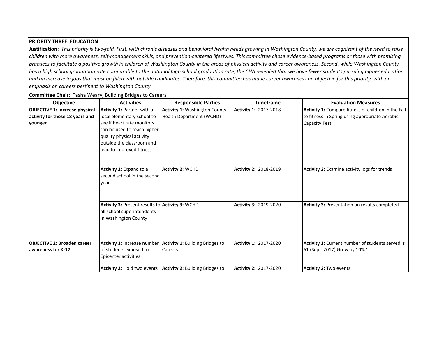#### **PRIORITY THREE: EDUCATION**

**Justification:** *This priority is two-fold. First, with chronic diseases and behavioral health needs growing in Washington County, we are cognizant of the need to raise children with more awareness, self-management skills, and prevention-centered lifestyles. This committee chose evidence-based programs or those with promising practices to facilitate a positive growth in children of Washington County in the areas of physical activity and career awareness. Second, while Washington County has a high school graduation rate comparable to the national high school graduation rate, the CHA revealed that we have fewer students pursuing higher education and an increase in jobs that must be filled with outside candidates. Therefore, this committee has made career awareness an objective for this priority, with an emphasis on careers pertinent to Washington County.*

| <b>Committee Chair:</b> Tasha Weary, Building Bridges to Careers |                                                 |                                        |                              |                                                      |
|------------------------------------------------------------------|-------------------------------------------------|----------------------------------------|------------------------------|------------------------------------------------------|
| Objective                                                        | <b>Activities</b>                               | <b>Responsible Parties</b>             | <b>Timeframe</b>             | <b>Evaluation Measures</b>                           |
| <b>OBJECTIVE 1: Increase physical</b>                            | <b>Activity 1: Partner with a</b>               | <b>Activity 1: Washington County</b>   | Activity 1: 2017-2018        | Activity 1: Compare fitness of children in the Fall  |
| activity for those 18 years and                                  | local elementary school to                      | <b>Health Department (WCHD)</b>        |                              | to fitness in Spring using appropriate Aerobic       |
| younger                                                          | see if heart rate monitors                      |                                        |                              | Capacity Test                                        |
|                                                                  | can be used to teach higher                     |                                        |                              |                                                      |
|                                                                  | quality physical activity                       |                                        |                              |                                                      |
|                                                                  | outside the classroom and                       |                                        |                              |                                                      |
|                                                                  | lead to improved fitness                        |                                        |                              |                                                      |
|                                                                  |                                                 |                                        |                              |                                                      |
|                                                                  | Activity 2: Expand to a                         | <b>Activity 2: WCHD</b>                | Activity 2: 2018-2019        | <b>Activity 2: Examine activity logs for trends</b>  |
|                                                                  | second school in the second                     |                                        |                              |                                                      |
|                                                                  | year                                            |                                        |                              |                                                      |
|                                                                  |                                                 |                                        |                              |                                                      |
|                                                                  |                                                 |                                        |                              |                                                      |
|                                                                  | Activity 3: Present results to Activity 3: WCHD |                                        | <b>Activity 3: 2019-2020</b> | <b>Activity 3: Presentation on results completed</b> |
|                                                                  | all school superintendents                      |                                        |                              |                                                      |
|                                                                  | in Washington County                            |                                        |                              |                                                      |
|                                                                  |                                                 |                                        |                              |                                                      |
|                                                                  |                                                 |                                        |                              |                                                      |
| <b>OBJECTIVE 2: Broaden career</b>                               | <b>Activity 1: Increase number</b>              | <b>Activity 1: Building Bridges to</b> | Activity 1: 2017-2020        | Activity 1: Current number of students served is     |
| awareness for K-12                                               | of students exposed to                          | <b>Careers</b>                         |                              | 61 (Sept. 2017) Grow by 10%?                         |
|                                                                  | Epicenter activities                            |                                        |                              |                                                      |
|                                                                  | <b>Activity 2: Hold two events</b>              | <b>Activity 2:</b> Building Bridges to | <b>Activity 2: 2017-2020</b> | Activity 2: Two events:                              |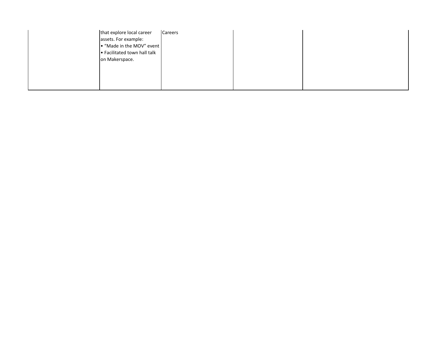| that explore local career    | <b>Careers</b> |  |
|------------------------------|----------------|--|
| assets. For example:         |                |  |
| . "Made in the MOV" event    |                |  |
| • Facilitated town hall talk |                |  |
| on Makerspace.               |                |  |
|                              |                |  |
|                              |                |  |
|                              |                |  |
|                              |                |  |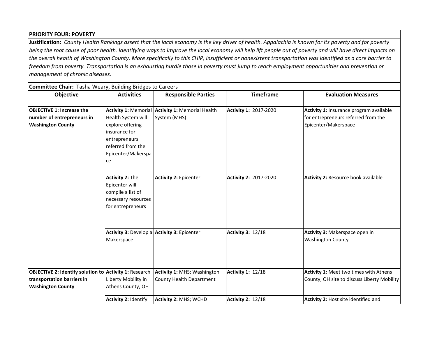#### **Objective Activities Responsible Parties Responsible Parties Responsible Parties Responsible Parties Responsible Parties Responsible Parties Responsible Parties Responsible Parties Responsible 2016 OBJECTIVE 2: Identify solution to Activity 1: Research** Liberty Mobility in Athens County, OH **Activity 1:** MHS; Washington County Health Department **Activity 1:** 12/18 **Activity 1:** Meet two times with Athens County, OH site to discuss Liberty Mobility **Activity 3: Develop a Activity 3: Epicenter** Makerspace **Activity 3:** 12/18 **Activity 3:** Makerspace open in Washington County **transportation barriers in Washington County Activity 2:** Identify **Activity 2:** MHS; WCHD **Activity 2:** 12/18 **Activity 2:** Host site identified and **PRIORITY FOUR: POVERTY Justification:** *County Health Rankings assert that the local economy is the key driver of health. Appalachia is known for its poverty and for poverty being the root cause of poor health. Identifying ways to improve the local economy will help lift people out of poverty and will have direct impacts on the overall health of Washington County. More specifically to this CHIP, insufficient or nonexistent transportation was identified as a core barrier to freedom from poverty. Transportation is an exhausting hurdle those in poverty must jump to reach employment opportunities and prevention or management of chronic diseases.*  **Committee Chair:** Tasha Weary, Building Bridges to Careers **OBJECTIVE 1: Increase the number of entrepreneurs in Washington County Activity 1:** Memorial Health System will explore offering insurance for entrepreneurs referred from the Epicenter/Makerspa ce **Activity 1:** Memorial Health System (MHS) **Activity 1:** 2017-2020 **Activity 1:** Insurance program available for entrepreneurs referred from the Epicenter/Makerspace **Activity 2:** The Epicenter will compile a list of necessary resources for entrepreneurs **Activity 2:** Epicenter **Activity 2:** 2017-2020 **Activity 2:** Resource book available